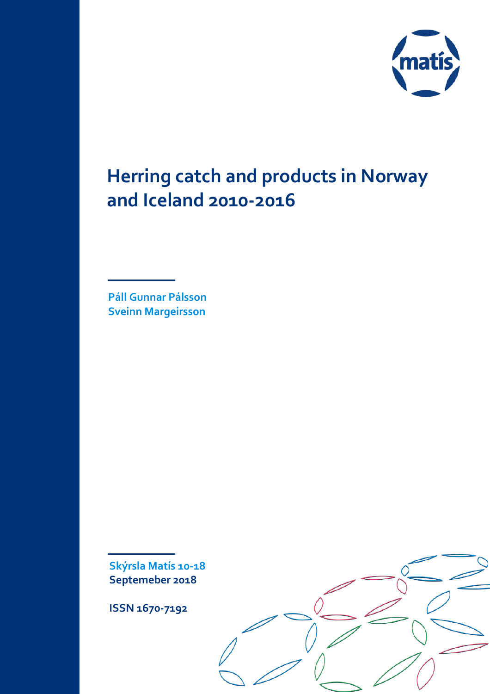

# **Herring catch and products in Norway and Iceland 2010-2016**

**Páll Gunnar Pálsson Sveinn Margeirsson**

**Skýrsla Matís 10-18 Septemeber 2018** 

**ISSN 1670-7192**

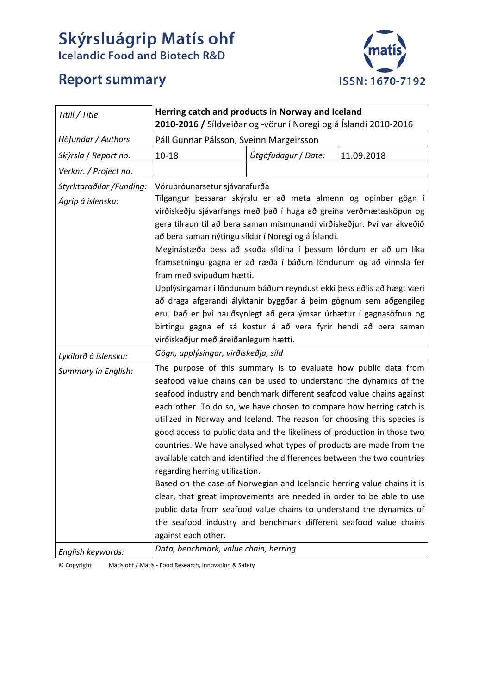# **Skýrsluágrip Matís ohf**<br>Icelandic Food and Biotech R&D



# **Report summary**

| Titill / Title           | Herring catch and products in Norway and Iceland<br>2010-2016 / Síldveiðar og -vörur í Noregi og á Íslandi 2010-2016                                                                                                                                                                                                                                                                                                                                                                                                                                                                                                                                                                                                                                                                                                                                                                                                                                      |                                         |  |  |  |  |  |  |  |  |
|--------------------------|-----------------------------------------------------------------------------------------------------------------------------------------------------------------------------------------------------------------------------------------------------------------------------------------------------------------------------------------------------------------------------------------------------------------------------------------------------------------------------------------------------------------------------------------------------------------------------------------------------------------------------------------------------------------------------------------------------------------------------------------------------------------------------------------------------------------------------------------------------------------------------------------------------------------------------------------------------------|-----------------------------------------|--|--|--|--|--|--|--|--|
| Höfundar / Authors       |                                                                                                                                                                                                                                                                                                                                                                                                                                                                                                                                                                                                                                                                                                                                                                                                                                                                                                                                                           | Páll Gunnar Pálsson, Sveinn Margeirsson |  |  |  |  |  |  |  |  |
| Skýrsla / Report no.     | Útgáfudagur / Date:<br>11.09.2018<br>$10 - 18$                                                                                                                                                                                                                                                                                                                                                                                                                                                                                                                                                                                                                                                                                                                                                                                                                                                                                                            |                                         |  |  |  |  |  |  |  |  |
| Verknr. / Project no.    |                                                                                                                                                                                                                                                                                                                                                                                                                                                                                                                                                                                                                                                                                                                                                                                                                                                                                                                                                           |                                         |  |  |  |  |  |  |  |  |
| Styrktaraðilar /Funding: | Vöruþróunarsetur sjávarafurða                                                                                                                                                                                                                                                                                                                                                                                                                                                                                                                                                                                                                                                                                                                                                                                                                                                                                                                             |                                         |  |  |  |  |  |  |  |  |
| Ágrip á íslensku:        | Tilgangur þessarar skýrslu er að meta almenn og opinber gögn í<br>virðiskeðju sjávarfangs með það í huga að greina verðmætasköpun og<br>gera tilraun til að bera saman mismunandi virðiskeðjur. Því var ákveðið<br>að bera saman nýtingu síldar í Noregi og á Íslandi.<br>Meginástæða þess að skoða síldina í þessum löndum er að um líka<br>framsetningu gagna er að ræða í báðum löndunum og að vinnsla fer<br>fram með svipuðum hætti.<br>Upplýsingarnar í löndunum báðum reyndust ekki þess eðlis að hægt væri<br>að draga afgerandi ályktanir byggðar á þeim gögnum sem aðgengileg<br>eru. Það er því nauðsynlegt að gera ýmsar úrbætur í gagnasöfnun og<br>birtingu gagna ef sá kostur á að vera fyrir hendi að bera saman<br>virðiskeðjur með áreiðanlegum hætti.                                                                                                                                                                                  |                                         |  |  |  |  |  |  |  |  |
| Lykilorð á íslensku:     |                                                                                                                                                                                                                                                                                                                                                                                                                                                                                                                                                                                                                                                                                                                                                                                                                                                                                                                                                           | Gögn, upplýsingar, virðiskeðja, síld    |  |  |  |  |  |  |  |  |
| Summary in English:      | The purpose of this summary is to evaluate how public data from<br>seafood value chains can be used to understand the dynamics of the<br>seafood industry and benchmark different seafood value chains against<br>each other. To do so, we have chosen to compare how herring catch is<br>utilized in Norway and Iceland. The reason for choosing this species is<br>good access to public data and the likeliness of production in those two<br>countries. We have analysed what types of products are made from the<br>available catch and identified the differences between the two countries<br>regarding herring utilization.<br>Based on the case of Norwegian and Icelandic herring value chains it is<br>clear, that great improvements are needed in order to be able to use<br>public data from seafood value chains to understand the dynamics of<br>the seafood industry and benchmark different seafood value chains<br>against each other. |                                         |  |  |  |  |  |  |  |  |
| English keywords:        | Data, benchmark, value chain, herring                                                                                                                                                                                                                                                                                                                                                                                                                                                                                                                                                                                                                                                                                                                                                                                                                                                                                                                     |                                         |  |  |  |  |  |  |  |  |

© Copyright Matís ohf / Matis - Food Research, Innovation & Safety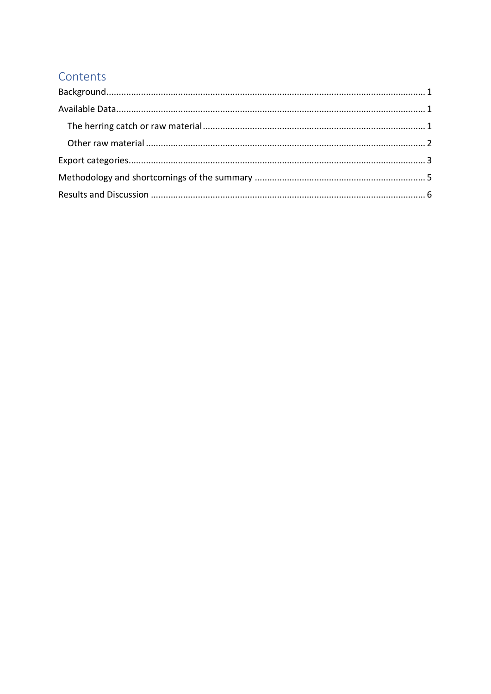# Contents

<span id="page-2-0"></span>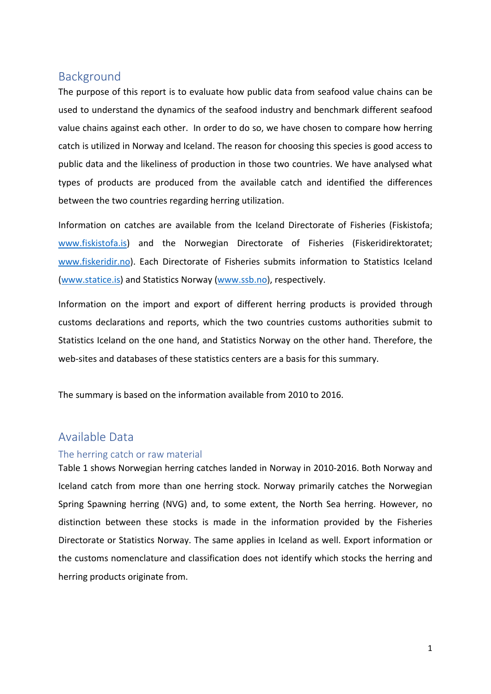### Background

The purpose of this report is to evaluate how public data from seafood value chains can be used to understand the dynamics of the seafood industry and benchmark different seafood value chains against each other. In order to do so, we have chosen to compare how herring catch is utilized in Norway and Iceland. The reason for choosing this species is good access to public data and the likeliness of production in those two countries. We have analysed what types of products are produced from the available catch and identified the differences between the two countries regarding herring utilization.

Information on catches are available from the Iceland Directorate of Fisheries (Fiskistofa; [www.fiskistofa.is\)](http://www.fiskistofa.is/) and the Norwegian Directorate of Fisheries (Fiskeridirektoratet; [www.fiskeridir.no\)](http://www.fiskeridir.no/). Each Directorate of Fisheries submits information to Statistics Iceland [\(www.statice.is\)](http://www.statice.is/) and Statistics Norway [\(www.ssb.no\)](http://www.ssb.no/), respectively.

Information on the import and export of different herring products is provided through customs declarations and reports, which the two countries customs authorities submit to Statistics Iceland on the one hand, and Statistics Norway on the other hand. Therefore, the web-sites and databases of these statistics centers are a basis for this summary.

The summary is based on the information available from 2010 to 2016.

#### <span id="page-3-0"></span>Available Data

#### <span id="page-3-1"></span>The herring catch or raw material

Table 1 shows Norwegian herring catches landed in Norway in 2010-2016. Both Norway and Iceland catch from more than one herring stock. Norway primarily catches the Norwegian Spring Spawning herring (NVG) and, to some extent, the North Sea herring. However, no distinction between these stocks is made in the information provided by the Fisheries Directorate or Statistics Norway. The same applies in Iceland as well. Export information or the customs nomenclature and classification does not identify which stocks the herring and herring products originate from.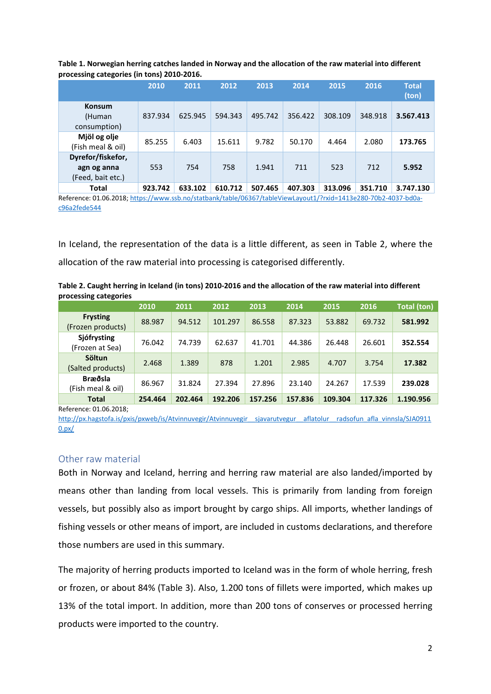| ັ<br>. .                                              |         |         |         |         |         |         |         |                       |
|-------------------------------------------------------|---------|---------|---------|---------|---------|---------|---------|-----------------------|
|                                                       | 2010    | 2011    | 2012    | 2013    | 2014    | 2015    | 2016    | <b>Total</b><br>(ton) |
| <b>Konsum</b><br>(Human<br>consumption)               | 837.934 | 625.945 | 594.343 | 495.742 | 356.422 | 308.109 | 348.918 | 3.567.413             |
| Mjöl og olje<br>(Fish meal & oil)                     | 85.255  | 6.403   | 15.611  | 9.782   | 50.170  | 4.464   | 2.080   | 173.765               |
| Dyrefor/fiskefor,<br>agn og anna<br>(Feed, bait etc.) | 553     | 754     | 758     | 1.941   | 711     | 523     | 712     | 5.952                 |
| <b>Total</b>                                          | 923.742 | 633.102 | 610.712 | 507.465 | 407.303 | 313.096 | 351.710 | 3.747.130             |

**Table 1. Norwegian herring catches landed in Norway and the allocation of the raw material into different processing categories (in tons) 2010-2016.**

Reference: 01.06.2018; [https://www.ssb.no/statbank/table/06367/tableViewLayout1/?rxid=1413e280-70b2-4037-bd0a](https://www.ssb.no/statbank/table/06367/tableViewLayout1/?rxid=1413e280-70b2-4037-bd0a-c96a2fede544)[c96a2fede544](https://www.ssb.no/statbank/table/06367/tableViewLayout1/?rxid=1413e280-70b2-4037-bd0a-c96a2fede544)

In Iceland, the representation of the data is a little different, as seen in Table 2, where the allocation of the raw material into processing is categorised differently.

**Table 2. Caught herring in Iceland (in tons) 2010-2016 and the allocation of the raw material into different processing categories**

|                                      | 2010    | 2011    | 2012    | 2013    | 2014    | 2015    | 2016    | <b>Total (ton)</b> |
|--------------------------------------|---------|---------|---------|---------|---------|---------|---------|--------------------|
| <b>Frysting</b><br>(Frozen products) | 88.987  | 94.512  | 101.297 | 86.558  | 87.323  | 53.882  | 69.732  | 581.992            |
| Sjófrysting<br>(Frozen at Sea)       | 76.042  | 74.739  | 62.637  | 41.701  | 44.386  | 26.448  | 26.601  | 352.554            |
| Söltun<br>(Salted products)          | 2.468   | 1.389   | 878     | 1.201   | 2.985   | 4.707   | 3.754   | 17.382             |
| Bræðsla<br>(Fish meal & oil)         | 86.967  | 31.824  | 27.394  | 27.896  | 23.140  | 24.267  | 17.539  | 239.028            |
| <b>Total</b>                         | 254.464 | 202.464 | 192.206 | 157.256 | 157.836 | 109.304 | 117.326 | 1.190.956          |
| - -<br>                              |         |         |         |         |         |         |         |                    |

Reference: 01.06.2018;

http://px.hagstofa.is/pxis/pxweb/is/Atvinnuvegir/Atvinnuvegir\_sjavarutvegur\_aflatolur\_radsofun\_afla\_vinnsla/SJA0911 [0.px/](http://px.hagstofa.is/pxis/pxweb/is/Atvinnuvegir/Atvinnuvegir__sjavarutvegur__aflatolur__radsofun_afla_vinnsla/SJA09110.px/)

#### <span id="page-4-0"></span>Other raw material

Both in Norway and Iceland, herring and herring raw material are also landed/imported by means other than landing from local vessels. This is primarily from landing from foreign vessels, but possibly also as import brought by cargo ships. All imports, whether landings of fishing vessels or other means of import, are included in customs declarations, and therefore those numbers are used in this summary.

The majority of herring products imported to Iceland was in the form of whole herring, fresh or frozen, or about 84% (Table 3). Also, 1.200 tons of fillets were imported, which makes up 13% of the total import. In addition, more than 200 tons of conserves or processed herring products were imported to the country.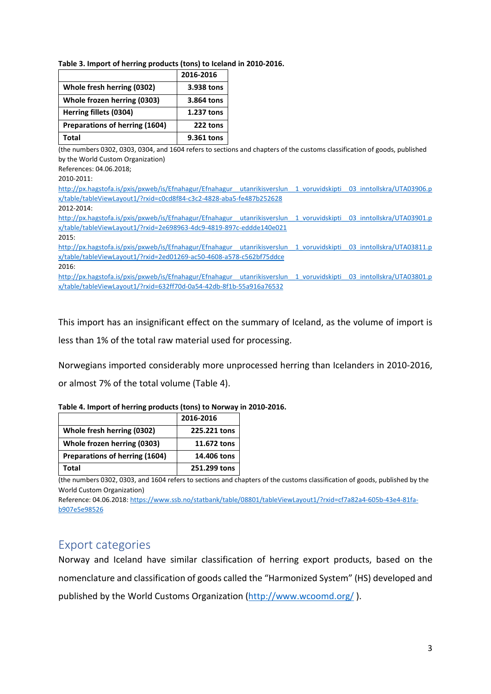|                                | 2016-2016  |
|--------------------------------|------------|
| Whole fresh herring (0302)     | 3.938 tons |
| Whole frozen herring (0303)    | 3.864 tons |
| Herring fillets (0304)         | 1.237 tons |
| Preparations of herring (1604) | 222 tons   |
| Total                          | 9.361 tons |

(the numbers 0302, 0303, 0304, and 1604 refers to sections and chapters of the customs classification of goods, published by the World Custom Organization)

References: 04.06.2018;

2010-2011:

[http://px.hagstofa.is/pxis/pxweb/is/Efnahagur/Efnahagur\\_\\_utanrikisverslun\\_\\_1\\_voruvidskipti\\_\\_03\\_inntollskra/UTA03906.p](http://px.hagstofa.is/pxis/pxweb/is/Efnahagur/Efnahagur__utanrikisverslun__1_voruvidskipti__03_inntollskra/UTA03906.px/table/tableViewLayout1/?rxid=c0cd8f84-c3c2-4828-aba5-fe487b252628) [x/table/tableViewLayout1/?rxid=c0cd8f84-c3c2-4828-aba5-fe487b252628](http://px.hagstofa.is/pxis/pxweb/is/Efnahagur/Efnahagur__utanrikisverslun__1_voruvidskipti__03_inntollskra/UTA03906.px/table/tableViewLayout1/?rxid=c0cd8f84-c3c2-4828-aba5-fe487b252628)

2012-2014:

http://px.hagstofa.is/pxis/pxweb/is/Efnahagur/Efnahagur\_utanrikisverslun\_1\_voruvidskipti\_03\_inntollskra/UTA03901.p [x/table/tableViewLayout1/?rxid=2e698963-4dc9-4819-897c-eddde140e021](http://px.hagstofa.is/pxis/pxweb/is/Efnahagur/Efnahagur__utanrikisverslun__1_voruvidskipti__03_inntollskra/UTA03901.px/table/tableViewLayout1/?rxid=2e698963-4dc9-4819-897c-eddde140e021)

2015:

http://px.hagstofa.is/pxis/pxweb/is/Efnahagur/Efnahagur\_utanrikisverslun\_1\_voruvidskipti\_03\_inntollskra/UTA03811.p [x/table/tableViewLayout1/?rxid=2ed01269-ac50-4608-a578-c562bf75ddce](http://px.hagstofa.is/pxis/pxweb/is/Efnahagur/Efnahagur__utanrikisverslun__1_voruvidskipti__03_inntollskra/UTA03811.px/table/tableViewLayout1/?rxid=2ed01269-ac50-4608-a578-c562bf75ddce)

2016:

http://px.hagstofa.is/pxis/pxweb/is/Efnahagur/Efnahagur\_utanrikisverslun\_1\_voruvidskipti\_03\_inntollskra/UTA03801.p [x/table/tableViewLayout1/?rxid=632ff70d-0a54-42db-8f1b-55a916a76532](http://px.hagstofa.is/pxis/pxweb/is/Efnahagur/Efnahagur__utanrikisverslun__1_voruvidskipti__03_inntollskra/UTA03801.px/table/tableViewLayout1/?rxid=632ff70d-0a54-42db-8f1b-55a916a76532)

This import has an insignificant effect on the summary of Iceland, as the volume of import is

less than 1% of the total raw material used for processing.

Norwegians imported considerably more unprocessed herring than Icelanders in 2010-2016,

or almost 7% of the total volume (Table 4).

| Table 4. Import of herring products (tons) to Norway in 2010-2016. |  |
|--------------------------------------------------------------------|--|
|--------------------------------------------------------------------|--|

|                                | 2016-2016    |
|--------------------------------|--------------|
| Whole fresh herring (0302)     | 225.221 tons |
| Whole frozen herring (0303)    | 11.672 tons  |
| Preparations of herring (1604) | 14.406 tons  |
| Total                          | 251.299 tons |

(the numbers 0302, 0303, and 1604 refers to sections and chapters of the customs classification of goods, published by the World Custom Organization)

Reference: 04.06.2018: [https://www.ssb.no/statbank/table/08801/tableViewLayout1/?rxid=cf7a82a4-605b-43e4-81fa](https://www.ssb.no/statbank/table/08801/tableViewLayout1/?rxid=cf7a82a4-605b-43e4-81fa-b907e5e98526)[b907e5e98526](https://www.ssb.no/statbank/table/08801/tableViewLayout1/?rxid=cf7a82a4-605b-43e4-81fa-b907e5e98526)

# <span id="page-5-0"></span>Export categories

Norway and Iceland have similar classification of herring export products, based on the nomenclature and classification of goods called the "Harmonized System" (HS) developed and published by the World Customs Organization [\(http://www.wcoomd.org/](http://www.wcoomd.org/) ).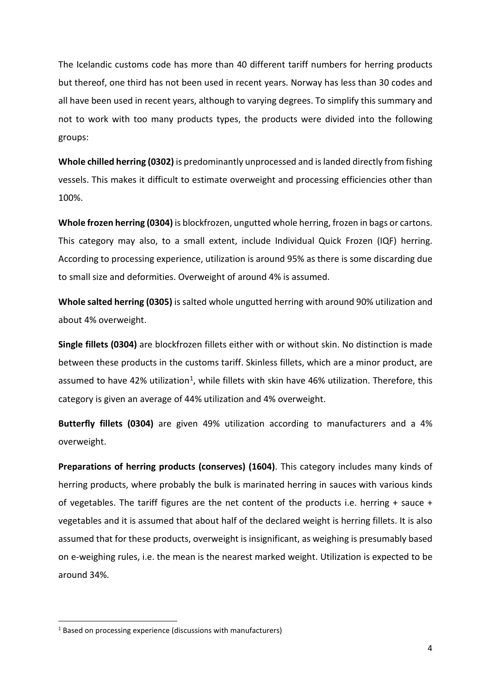The Icelandic customs code has more than 40 different tariff numbers for herring products but thereof, one third has not been used in recent years. Norway has less than 30 codes and all have been used in recent years, although to varying degrees. To simplify this summary and not to work with too many products types, the products were divided into the following groups:

**Whole chilled herring (0302)** is predominantly unprocessed and is landed directly from fishing vessels. This makes it difficult to estimate overweight and processing efficiencies other than 100%.

**Whole frozen herring (0304)** is blockfrozen, ungutted whole herring, frozen in bags or cartons. This category may also, to a small extent, include Individual Quick Frozen (IQF) herring. According to processing experience, utilization is around 95% as there is some discarding due to small size and deformities. Overweight of around 4% is assumed.

**Whole salted herring (0305)** is salted whole ungutted herring with around 90% utilization and about 4% overweight.

**Single fillets (0304)** are blockfrozen fillets either with or without skin. No distinction is made between these products in the customs tariff. Skinless fillets, which are a minor product, are assumed to have 42% utilization<sup>[1](#page-6-0)</sup>, while fillets with skin have 46% utilization. Therefore, this category is given an average of 44% utilization and 4% overweight.

**Butterfly fillets (0304)** are given 49% utilization according to manufacturers and a 4% overweight.

**Preparations of herring products (conserves) (1604)**. This category includes many kinds of herring products, where probably the bulk is marinated herring in sauces with various kinds of vegetables. The tariff figures are the net content of the products i.e. herring + sauce + vegetables and it is assumed that about half of the declared weight is herring fillets. It is also assumed that for these products, overweight is insignificant, as weighing is presumably based on e-weighing rules, i.e. the mean is the nearest marked weight. Utilization is expected to be around 34%.

<span id="page-6-0"></span><sup>&</sup>lt;sup>1</sup> Based on processing experience (discussions with manufacturers)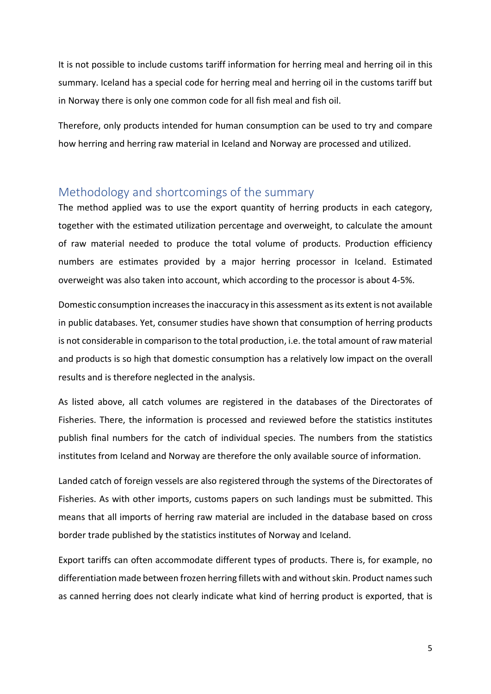It is not possible to include customs tariff information for herring meal and herring oil in this summary. Iceland has a special code for herring meal and herring oil in the customs tariff but in Norway there is only one common code for all fish meal and fish oil.

Therefore, only products intended for human consumption can be used to try and compare how herring and herring raw material in Iceland and Norway are processed and utilized.

## <span id="page-7-0"></span>Methodology and shortcomings of the summary

The method applied was to use the export quantity of herring products in each category, together with the estimated utilization percentage and overweight, to calculate the amount of raw material needed to produce the total volume of products. Production efficiency numbers are estimates provided by a major herring processor in Iceland. Estimated overweight was also taken into account, which according to the processor is about 4-5%.

Domestic consumption increases the inaccuracy in this assessment as its extent is not available in public databases. Yet, consumer studies have shown that consumption of herring products is not considerable in comparison to the total production, i.e. the total amount of raw material and products is so high that domestic consumption has a relatively low impact on the overall results and is therefore neglected in the analysis.

As listed above, all catch volumes are registered in the databases of the Directorates of Fisheries. There, the information is processed and reviewed before the statistics institutes publish final numbers for the catch of individual species. The numbers from the statistics institutes from Iceland and Norway are therefore the only available source of information.

Landed catch of foreign vessels are also registered through the systems of the Directorates of Fisheries. As with other imports, customs papers on such landings must be submitted. This means that all imports of herring raw material are included in the database based on cross border trade published by the statistics institutes of Norway and Iceland.

Export tariffs can often accommodate different types of products. There is, for example, no differentiation made between frozen herring fillets with and without skin. Product names such as canned herring does not clearly indicate what kind of herring product is exported, that is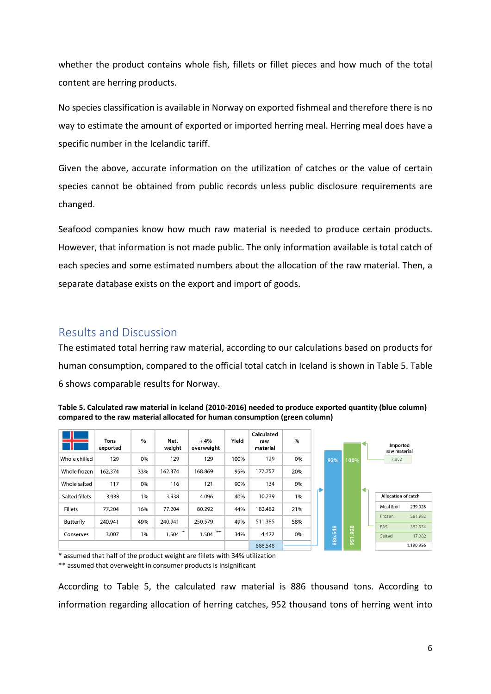whether the product contains whole fish, fillets or fillet pieces and how much of the total content are herring products.

No species classification is available in Norway on exported fishmeal and therefore there is no way to estimate the amount of exported or imported herring meal. Herring meal does have a specific number in the Icelandic tariff.

Given the above, accurate information on the utilization of catches or the value of certain species cannot be obtained from public records unless public disclosure requirements are changed.

Seafood companies know how much raw material is needed to produce certain products. However, that information is not made public. The only information available is total catch of each species and some estimated numbers about the allocation of the raw material. Then, a separate database exists on the export and import of goods.

# <span id="page-8-0"></span>Results and Discussion

The estimated total herring raw material, according to our calculations based on products for human consumption, compared to the official total catch in Iceland is shown in Table 5. Table 6 shows comparable results for Norway.

| Table 5. Calculated raw material in Iceland (2010-2016) needed to produce exported quantity (blue column) |
|-----------------------------------------------------------------------------------------------------------|
| compared to the raw material allocated for human consumption (green column)                               |



\* assumed that half of the product weight are fillets with 34% utilization

\*\* assumed that overweight in consumer products is insignificant

According to Table 5, the calculated raw material is 886 thousand tons. According to information regarding allocation of herring catches, 952 thousand tons of herring went into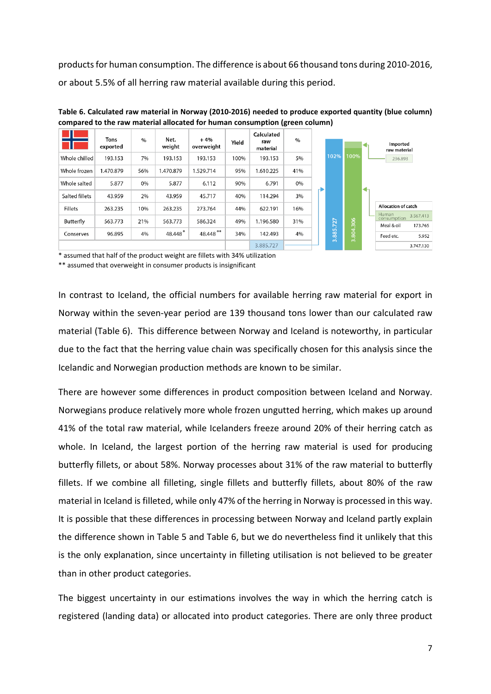products for human consumption. The difference is about 66 thousand tons during 2010-2016, or about 5.5% of all herring raw material available during this period.

|                | <b>Tons</b><br>exported | $\%$ | Net.<br>weight | $+4%$<br>overweight | Yield | Calculated<br>raw<br>material | $\%$ |   |                              |           |   | Imported<br>raw material                          |
|----------------|-------------------------|------|----------------|---------------------|-------|-------------------------------|------|---|------------------------------|-----------|---|---------------------------------------------------|
| Whole chilled  | 193.153                 | 7%   | 193.153        | 193.153             | 100%  | 193.153                       | 5%   |   | 102%                         | 100%      |   | 236.893                                           |
| Whole frozen   | <b>.470.879</b>         | 56%  | 1.470.879      | 1.529.714           | 95%   | 1.610.225                     | 41%  |   |                              |           |   |                                                   |
| Whole salted   | 5.877                   | 0%   | 5.877          | 6.112               | 90%   | 6.791                         | 0%   | D |                              |           | ↞ |                                                   |
| Salted fillets | 43.959                  | 2%   | 43.959         | 45.717              | 40%   | 114.294                       | 3%   |   |                              |           |   |                                                   |
| <b>Fillets</b> | 263.235                 | 10%  | 263.235        | 273.764             | 44%   | 622.191                       | 16%  |   |                              |           |   | Allocation of catch<br><b>Human</b>               |
| Butterfly      | 563.773                 | 21%  | 563.773        | 586.324             | 49%   | 1.196.580                     | 31%  |   | .727                         |           |   | 3.567.413<br>consumption<br>Meal & oil<br>173.765 |
| Conserves      | 96.895                  | 4%   | 48.448*        | 48.448 **           | 34%   | 142.493                       | 4%   |   | <b>LO</b><br>$\overline{88}$ | 3.804.306 |   | Feed etc.<br>5.952                                |
|                |                         |      |                |                     |       | 3.885.727                     |      |   | $\sim$                       |           |   | 3.747.130                                         |

**Table 6. Calculated raw material in Norway (2010-2016) needed to produce exported quantity (blue column) compared to the raw material allocated for human consumption (green column)**

\* assumed that half of the product weight are fillets with 34% utilization

\*\* assumed that overweight in consumer products is insignificant

In contrast to Iceland, the official numbers for available herring raw material for export in Norway within the seven-year period are 139 thousand tons lower than our calculated raw material (Table 6). This difference between Norway and Iceland is noteworthy, in particular due to the fact that the herring value chain was specifically chosen for this analysis since the Icelandic and Norwegian production methods are known to be similar.

There are however some differences in product composition between Iceland and Norway. Norwegians produce relatively more whole frozen ungutted herring, which makes up around 41% of the total raw material, while Icelanders freeze around 20% of their herring catch as whole. In Iceland, the largest portion of the herring raw material is used for producing butterfly fillets, or about 58%. Norway processes about 31% of the raw material to butterfly fillets. If we combine all filleting, single fillets and butterfly fillets, about 80% of the raw material in Iceland is filleted, while only 47% of the herring in Norway is processed in this way. It is possible that these differences in processing between Norway and Iceland partly explain the difference shown in Table 5 and Table 6, but we do nevertheless find it unlikely that this is the only explanation, since uncertainty in filleting utilisation is not believed to be greater than in other product categories.

The biggest uncertainty in our estimations involves the way in which the herring catch is registered (landing data) or allocated into product categories. There are only three product